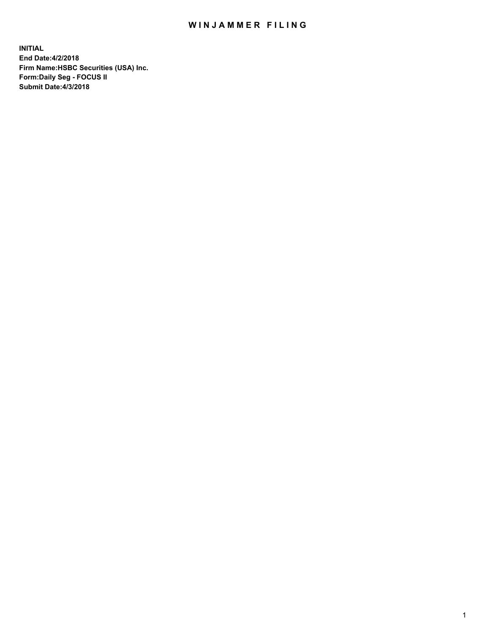## WIN JAMMER FILING

**INITIAL End Date:4/2/2018 Firm Name:HSBC Securities (USA) Inc. Form:Daily Seg - FOCUS II Submit Date:4/3/2018**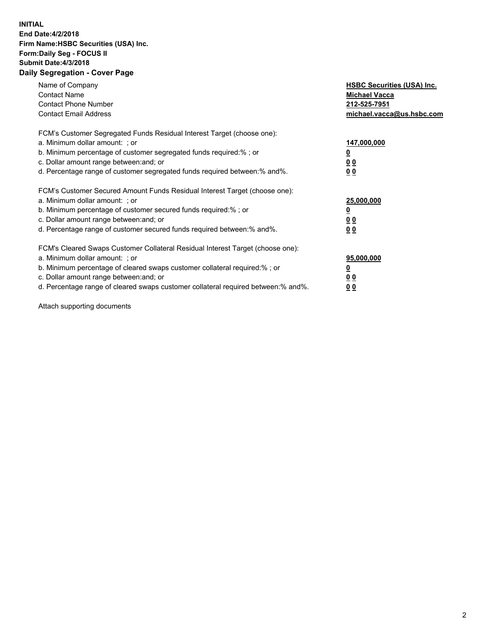## **INITIAL End Date:4/2/2018 Firm Name:HSBC Securities (USA) Inc. Form:Daily Seg - FOCUS II Submit Date:4/3/2018 Daily Segregation - Cover Page**

| Name of Company<br><b>Contact Name</b><br><b>Contact Phone Number</b><br><b>Contact Email Address</b>                                                                                                                                                                                                                         | <b>HSBC Securities (USA) Inc.</b><br><b>Michael Vacca</b><br>212-525-7951<br>michael.vacca@us.hsbc.com |
|-------------------------------------------------------------------------------------------------------------------------------------------------------------------------------------------------------------------------------------------------------------------------------------------------------------------------------|--------------------------------------------------------------------------------------------------------|
| FCM's Customer Segregated Funds Residual Interest Target (choose one):<br>a. Minimum dollar amount: ; or<br>b. Minimum percentage of customer segregated funds required:%; or<br>c. Dollar amount range between: and; or<br>d. Percentage range of customer segregated funds required between: % and %.                       | 147,000,000<br><u>0</u><br><u>00</u><br>00                                                             |
| FCM's Customer Secured Amount Funds Residual Interest Target (choose one):<br>a. Minimum dollar amount: ; or<br>b. Minimum percentage of customer secured funds required:%; or<br>c. Dollar amount range between: and; or<br>d. Percentage range of customer secured funds required between: % and %.                         | 25,000,000<br><u>0</u><br><u>00</u><br>00                                                              |
| FCM's Cleared Swaps Customer Collateral Residual Interest Target (choose one):<br>a. Minimum dollar amount: ; or<br>b. Minimum percentage of cleared swaps customer collateral required:%; or<br>c. Dollar amount range between: and; or<br>d. Percentage range of cleared swaps customer collateral required between:% and%. | 95,000,000<br><u>0</u><br><u>00</u><br><u>00</u>                                                       |

Attach supporting documents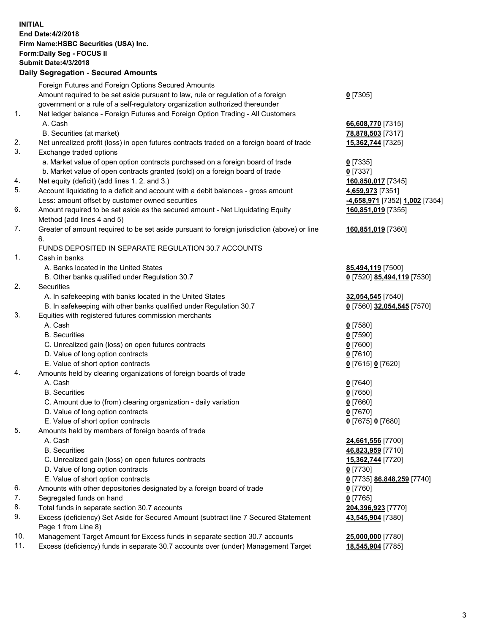**INITIAL End Date:4/2/2018 Firm Name:HSBC Securities (USA) Inc. Form:Daily Seg - FOCUS II Submit Date:4/3/2018 Daily Segregation - Secured Amounts** Foreign Futures and Foreign Options Secured Amounts Amount required to be set aside pursuant to law, rule or regulation of a foreign government or a rule of a self-regulatory organization authorized thereunder **0** [7305] 1. Net ledger balance - Foreign Futures and Foreign Option Trading - All Customers A. Cash **66,608,770** [7315] B. Securities (at market) **78,878,503** [7317] 2. Net unrealized profit (loss) in open futures contracts traded on a foreign board of trade **15,362,744** [7325] 3. Exchange traded options a. Market value of open option contracts purchased on a foreign board of trade **0** [7335] b. Market value of open contracts granted (sold) on a foreign board of trade **0** [7337] 4. Net equity (deficit) (add lines 1. 2. and 3.) **160,850,017** [7345] 5. Account liquidating to a deficit and account with a debit balances - gross amount **4,659,973** [7351] Less: amount offset by customer owned securities **-4,658,971** [7352] **1,002** [7354] 6. Amount required to be set aside as the secured amount - Net Liquidating Equity Method (add lines 4 and 5) **160,851,019** [7355] 7. Greater of amount required to be set aside pursuant to foreign jurisdiction (above) or line 6. **160,851,019** [7360] FUNDS DEPOSITED IN SEPARATE REGULATION 30.7 ACCOUNTS 1. Cash in banks A. Banks located in the United States **85,494,119** [7500] B. Other banks qualified under Regulation 30.7 **0** [7520] **85,494,119** [7530] 2. Securities A. In safekeeping with banks located in the United States **32,054,545** [7540] B. In safekeeping with other banks qualified under Regulation 30.7 **0** [7560] **32,054,545** [7570] 3. Equities with registered futures commission merchants A. Cash **0** [7580] B. Securities **0** [7590] C. Unrealized gain (loss) on open futures contracts **0** [7600] D. Value of long option contracts **0** [7610] E. Value of short option contracts **0** [7615] **0** [7620] 4. Amounts held by clearing organizations of foreign boards of trade A. Cash **0** [7640] B. Securities **0** [7650] C. Amount due to (from) clearing organization - daily variation **0** [7660] D. Value of long option contracts **0** [7670] E. Value of short option contracts **0** [7675] **0** [7680] 5. Amounts held by members of foreign boards of trade A. Cash **24,661,556** [7700] B. Securities **46,823,959** [7710] C. Unrealized gain (loss) on open futures contracts **15,362,744** [7720] D. Value of long option contracts **0** [7730] E. Value of short option contracts **0** [7735] **86,848,259** [7740] 6. Amounts with other depositories designated by a foreign board of trade **0** [7760] 7. Segregated funds on hand **0** [7765] 8. Total funds in separate section 30.7 accounts **204,396,923** [7770] 9. Excess (deficiency) Set Aside for Secured Amount (subtract line 7 Secured Statement Page 1 from Line 8) **43,545,904** [7380] 10. Management Target Amount for Excess funds in separate section 30.7 accounts **25,000,000** [7780] 11. Excess (deficiency) funds in separate 30.7 accounts over (under) Management Target **18,545,904** [7785]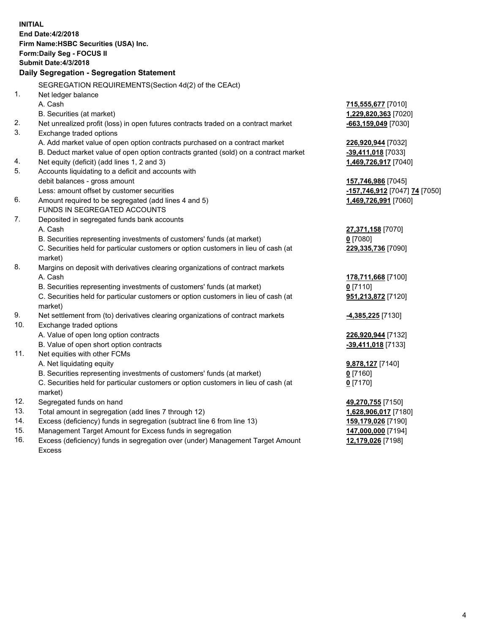| <b>INITIAL</b> | End Date: 4/2/2018<br>Firm Name: HSBC Securities (USA) Inc.<br><b>Form:Daily Seg - FOCUS II</b><br><b>Submit Date:4/3/2018</b> |                                  |
|----------------|--------------------------------------------------------------------------------------------------------------------------------|----------------------------------|
|                | Daily Segregation - Segregation Statement                                                                                      |                                  |
|                | SEGREGATION REQUIREMENTS(Section 4d(2) of the CEAct)                                                                           |                                  |
| 1.             |                                                                                                                                |                                  |
|                | Net ledger balance<br>A. Cash                                                                                                  | 715,555,677 [7010]               |
|                | B. Securities (at market)                                                                                                      | 1,229,820,363 [7020]             |
| 2.             | Net unrealized profit (loss) in open futures contracts traded on a contract market                                             | -663,159,049 [7030]              |
| 3.             | Exchange traded options                                                                                                        |                                  |
|                | A. Add market value of open option contracts purchased on a contract market                                                    | <u>226,920,944</u> [7032]        |
|                | B. Deduct market value of open option contracts granted (sold) on a contract market                                            | <u>-<b>39,411,018</b></u> [7033] |
| 4.             | Net equity (deficit) (add lines 1, 2 and 3)                                                                                    | 1,469,726,917 [7040]             |
| 5.             | Accounts liquidating to a deficit and accounts with                                                                            |                                  |
|                | debit balances - gross amount                                                                                                  | 157,746,986 [7045]               |
|                | Less: amount offset by customer securities                                                                                     | -157,746,912 [7047] 74 [7050]    |
| 6.             | Amount required to be segregated (add lines 4 and 5)                                                                           | 1,469,726,991 [7060]             |
|                | FUNDS IN SEGREGATED ACCOUNTS                                                                                                   |                                  |
| 7.             | Deposited in segregated funds bank accounts                                                                                    |                                  |
|                | A. Cash                                                                                                                        | 27,371,158 [7070]                |
|                | B. Securities representing investments of customers' funds (at market)                                                         | <u>0</u> [7080]                  |
|                | C. Securities held for particular customers or option customers in lieu of cash (at                                            | 229,335,736 [7090]               |
|                | market)                                                                                                                        |                                  |
| 8.             | Margins on deposit with derivatives clearing organizations of contract markets                                                 |                                  |
|                | A. Cash                                                                                                                        | 178,711,668 [7100]               |
|                | B. Securities representing investments of customers' funds (at market)                                                         | $0$ [7110]                       |
|                | C. Securities held for particular customers or option customers in lieu of cash (at                                            | <u>951,213,872</u> [7120]        |
|                | market)                                                                                                                        |                                  |
| 9.             | Net settlement from (to) derivatives clearing organizations of contract markets                                                | <mark>-4,385,225</mark> [7130]   |
| 10.            | Exchange traded options                                                                                                        |                                  |
|                | A. Value of open long option contracts                                                                                         | 226,920,944 [7132]               |
|                | B. Value of open short option contracts                                                                                        | -39,411,018 [7133]               |
| 11.            | Net equities with other FCMs                                                                                                   |                                  |
|                | A. Net liquidating equity                                                                                                      | 9,878,127 [7140]                 |
|                | B. Securities representing investments of customers' funds (at market)                                                         | $0$ [7160]                       |
|                | C. Securities held for particular customers or option customers in lieu of cash (at                                            | 0 <sup>[7170]</sup>              |
|                | market)                                                                                                                        |                                  |
| 12.            | Segregated funds on hand                                                                                                       | 49,270,755 [7150]                |
| 13.            | Total amount in segregation (add lines 7 through 12)                                                                           | 1,628,906,017 [7180]             |
| 14.            | Excess (deficiency) funds in segregation (subtract line 6 from line 13)                                                        | 159,179,026 [7190]               |
| 15.            | Management Target Amount for Excess funds in segregation                                                                       | 147,000,000 [7194]               |

16. Excess (deficiency) funds in segregation over (under) Management Target Amount Excess

**12,179,026** [7198]